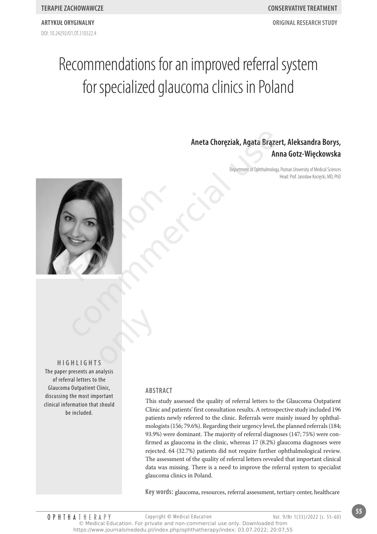**ArtyKuł oryGinAlny oriGinAl reseArCH stuDy**

# Recommendations for an improved referral system for specialized glaucoma clinics in Poland

**Aneta Choręziak, Agata Brązert, Aleksandra Borys, Anna Gotz-Więckowska**

> Department of Ophthalmology, Poznan University of Medical Sciences Head: Prof. Jarosław Kocięcki, MD, PhD



**HiGHliGHts** The paper presents an analysis of referral letters to the Glaucoma Outpatient Clinic, discussing the most important clinical information that should be included. only

# **ABstrACt**

This study assessed the quality of referral letters to the Glaucoma Outpatient Clinic and patients' first consultation results. A retrospective study included 196 patients newly referred to the clinic. Referrals were mainly issued by ophthalmologists (156; 79.6%). Regarding their urgency level, the planned referrals (184; 93.9%) were dominant. The majority of referral diagnoses (147; 75%) were confirmed as glaucoma in the clinic, whereas 17 (8.2%) glaucoma diagnoses were rejected. 64 (32.7%) patients did not require further ophthalmological review. The assessment of the quality of referral letters revealed that important clinical data was missing. There is a need to improve the referral system to specialist glaucoma clinics in Poland.

**Key words:** glaucoma, resources, referral assessment, tertiary center, healthcare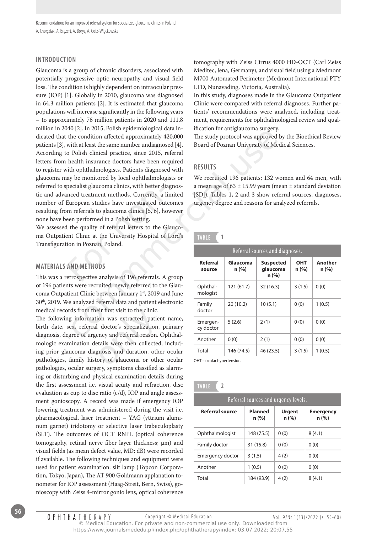Recommendations for an improved referral system for specialized glaucoma clinics in Poland A. Choręziak, A. Brązert, A. Borys, A. Gotz-Więckowska

# **introDuCtion**

Glaucoma is a group of chronic disorders, associated with potentially progressive optic neuropathy and visual field loss. The condition is highly dependent on intraocular pressure (IOP) [1]. Globally in 2010, glaucoma was diagnosed in 64.3 million patients [2]. It is estimated that glaucoma populations will increase significantly in the following years – to approximately 76 million patients in 2020 and 111.8 million in 2040 [2]. In 2015, Polish epidemiological data indicated that the condition affected approximately 420,000 patients [3], with at least the same number undiagnosed [4]. According to Polish clinical practice, since 2015, referral letters from health insurance doctors have been required to register with ophthalmologists. Patients diagnosed with glaucoma may be monitored by local ophthalmologists or referred to specialist glaucoma clinics, with better diagnostic and advanced treatment methods. Currently, a limited number of European studies have investigated outcomes resulting from referrals to glaucoma clinics [5, 6], however none have been performed in a Polish setting. pecialist glaucoma clinics, with better dianced treatment methods. Currently, a l<br>European studies have investigated out<br>om referrals to glaucoma clinics [5, 6], ha<br>een performed in a Polish setting.<br>I the quality of refer v [2]: In 2015, roust-eptentionly actuated in the duotin of anguatourial sugery.<br>
The study protocol was approved by<br>
tith at least the same number undiagnosed [4]. Board of Poznan University of Medic<br>
Photosh clinical pr

We assessed the quality of referral letters to the Glaucoma Outpatient Clinic at the University Hospital of Lord's Transfiguration in Poznan, Poland.

## **mAteriAls AnD metHoDs**

This was a retrospective analysis of 196 referrals. A group of 196 patients were recruited, newly referred to the Glaucoma Outpatient Clinic between January 1st, 2019 and June 30th, 2019. We analyzed referral data and patient electronic medical records from their first visit to the clinic.

The following information was extracted: patient name, birth date, sex, referral doctor's specialization, primary diagnosis, degree of urgency and referral reason. Ophthalmologic examination details were then collected, including prior glaucoma diagnosis and duration, other ocular medical records from their first visit to the clinic.<br>The following information was extracted: patient name,<br>birth date, sex, referral doctor's specialization, primary<br>diagnosis, degree of urgency and referral reason. Opht pathologies, ocular surgery, symptoms classified as alarming or disturbing and physical examination details during the first assessment i.e. visual acuity and refraction, disc evaluation as cup to disc ratio (c/d), IOP and angle assessment gonioscopy. A record was made if emergency IOP lowering treatment was administered during the visit i.e. pharmacological, laser treatment – YAG (yttrium aluminum garnet) iridotomy or selective laser trabeculoplasty (SLT). The outcomes of OCT RNFL (optical coherence tomography, retinal nerve fiber layer thickness; µm) and visual fields (as mean defect value, MD; dB) were recorded if available. The following techniques and equipment were used for patient examination: slit lamp (Topcon Corporation, Tokyo, Japan), The AT 900 Goldmann applanation tonometer for IOP assessment (Haag-Streit, Bern, Swiss), gonioscopy with Zeiss 4-mirror gonio lens, optical coherence

O P H T H A T H E R A P Y

tomography with Zeiss Cirrus 4000 HD-OCT (Carl Zeiss Meditec, Jena, Germany), and visual field using a Medmont M700 Automated Perimeter (Medmont International PTY LTD, Nunavading, Victoria, Australia).

In this study, diagnoses made in the Glaucoma Outpatient Clinic were compared with referral diagnoses. Further patients' recommendations were analyzed, including treatment, requirements for ophthalmological review and qualification for antiglaucoma surgery.

The study protocol was approved by the Bioethical Review Board of Poznan University of Medical Sciences.

# **results**

We recruited 196 patients; 132 women and 64 men, with a mean age of  $63 \pm 15.99$  years (mean  $\pm$  standard deviation [SD]). Tables 1, 2 and 3 show referral sources, diagnoses, urgency degree and reasons for analyzed referrals.

# **tABle 1**

| Referral sources and diagnoses. |                  |                                      |             |                 |
|---------------------------------|------------------|--------------------------------------|-------------|-----------------|
| Referral<br>source              | Glaucoma<br>n(%) | <b>Suspected</b><br>qlaucoma<br>n(%) | ОНТ<br>n(%) | Another<br>n(%) |
| Ophthal-<br>mologist            | 121 (61.7)       | 32(16.3)                             | 3(1.5)      | 0(0)            |
| Family<br>doctor                | 20(10.2)         | 10(5.1)                              | 0(0)        | 1(0.5)          |
| Emergen-<br>cy doctor           | 5(2.6)           | 2(1)                                 | 0(0)        | 0(0)            |
| Another                         | 0(0)             | 2(1)                                 | 0(0)        | 0(0)            |
| Total                           | 146 (74.5)       | 46 (23.5)                            | 3(1.5)      | 1(0.5)          |

OHT – ocular hypertension.

| Referral sources and urgency levels. |                         |                        |                          |
|--------------------------------------|-------------------------|------------------------|--------------------------|
| <b>Referral source</b>               | <b>Planned</b><br>n (%) | <b>Urgent</b><br>n (%) | <b>Emergency</b><br>n(%) |
| Ophthalmologist                      | 148 (75.5)              | 0(0)                   | 8(4.1)                   |
| Family doctor                        | 31 (15.8)               | 0(0)                   | 0(0)                     |
| Emergency doctor                     | 3(1.5)                  | 4(2)                   | 0(0)                     |
| Another                              | 1(0.5)                  | 0(0)                   | 0(0)                     |
| Total                                | 184 (93.9)              | 4(2)                   | 8(4.1)                   |

Copyright © Medical Education Vol. 9/Nr 1(33)/2022 (s. 55-60)

<sup>©</sup> Medical Education. For private and non-commercial use only. Downloaded from https://www.journalsmededu.pl/index.php/ophthatherapy/index: 03.07.2022; 20:07,55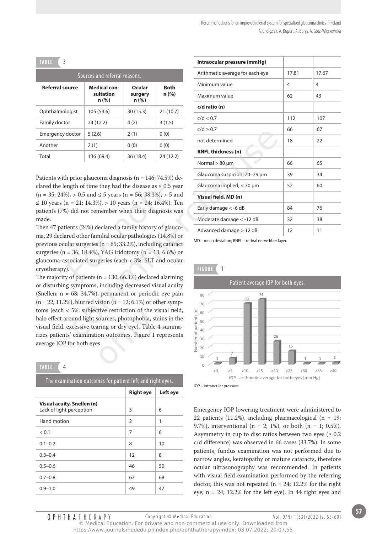| 3<br><b>TABLE</b>      |                                           |                            |                      |
|------------------------|-------------------------------------------|----------------------------|----------------------|
|                        | Sources and referral reasons.             |                            |                      |
| <b>Referral source</b> | <b>Medical con-</b><br>sultation<br>n (%) | Ocular<br>surgery<br>n (%) | <b>Both</b><br>n (%) |
| Ophthalmologist        | 105 (53.6)                                | 30 (15.3)                  | 21(10.7)             |
| Family doctor          | 24(12.2)                                  | 4(2)                       | 3(1.5)               |
| Emergency doctor       | 5(2.6)                                    | 2(1)                       | 0(0)                 |
| Another                | 2(1)                                      | 0(0)                       | 0(0)                 |
| Total                  | 136 (69.4)                                | 36 (18.4)                  | 24(12.2)             |

Patients with prior glaucoma diagnosis ( $n = 146$ ; 74.5%) declared the length of time they had the disease as  $\leq 0.5$  year  $(n = 35; 24\%), > 0.5$  and  $\leq 5$  years  $(n = 56; 38.3\%), > 5$  and ≤ 10 years (n = 21; 14.3%), > 10 years (n = 24; 16.4%). Ten patients (7%) did not remember when their diagnosis was made.

Then 47 patients (24%) declared a family history of glaucoma, 29 declared other familial ocular pathologies (14.8%) or previous ocular surgeries (n = 65; 33.2%), including cataract surgeries ( $n = 36$ ; 18.4%), YAG iridotomy ( $n = 13$ ; 6.6%) or glaucoma-associated surgeries (each < 3%: SLT and ocular cryotherapy). ngth of time they had the disease as  $\leq 0$ <br>
6), > 0.5 and  $\leq 5$  years (n = 56; 38.3%), ><br>
n = 21; 14.3%), > 10 years (n = 24; 16.4%)<br>
() did not remember when their diagnos<br>
(ients (24%) declared a family history of g

The majority of patients ( $n = 130$ ; 66.3%) declared alarming or disturbing symptoms, including decreased visual acuity (Snellen; n = 68; 34.7%), permanent or periodic eye pain  $(n = 22; 11.2\%)$ , blurred vision  $(n = 12; 6.1\%)$  or other symptoms (each  $<$  5%: subjective restriction of the visual field, halo effect around light sources, photophobia, stains in the visual field, excessive tearing or dry eye). Table 4 summarizes patients' examination outcomes. Figure 1 represents average IOP for both eyes. tive restriction of the vissources, photophobia, sta<br>aring or dry eye). Table 4<br>ion outcomes. Figure 1 r<br>ss.

## **tABle 4**

| The examination outcomes for patient left and right eyes. |                  |          |  |
|-----------------------------------------------------------|------------------|----------|--|
|                                                           | <b>Right eye</b> | Left eye |  |
| Visual acuity, Snellen (n)<br>Lack of light perception    | 5                | 6        |  |
| Hand motion                                               | 2                | 1        |  |
| < 0.1                                                     | 7                | 6        |  |
| $0.1 - 0.2$                                               | 8                | 10       |  |
| $0.3 - 0.4$                                               | 12               | 8        |  |
| $0.5 - 0.6$                                               | 46               | 50       |  |
| $0.7 - 0.8$                                               | 67               | 68       |  |
| $0.9 - 1.0$                                               | 49               | 47       |  |

|       |                                                                                                         |                  |             | Intraocular pressure (mmHg)                            |       |       |
|-------|---------------------------------------------------------------------------------------------------------|------------------|-------------|--------------------------------------------------------|-------|-------|
|       | Sources and referral reasons.                                                                           |                  |             | Arithmetic average for each eye                        | 17.81 | 17.67 |
| urce  | <b>Medical con-</b>                                                                                     | <b>Ocular</b>    | <b>Both</b> | Minimum value                                          | 4     | 4     |
|       | sultation<br>n (%)                                                                                      | surgery<br>n (%) | n (%)       | Maximum value                                          | 62    | 43    |
| gist  | 105 (53.6)                                                                                              | 30(15.3)         | 21 (10.7)   | c/d ratio (n)                                          |       |       |
|       | 24 (12.2)                                                                                               | 4(2)             | 3(1.5)      | c/d < 0.7                                              | 112   | 107   |
| octor | 5(2.6)                                                                                                  | 2(1)             | 0(0)        | $c/d \geq 0.7$                                         | 66    | 67    |
|       | 2(1)                                                                                                    | 0(0)             | 0(0)        | not determined                                         | 18    | 22    |
|       | 136 (69.4)                                                                                              | 36 (18.4)        | 24 (12.2)   | <b>RNFL thickness (n)</b>                              |       |       |
|       |                                                                                                         |                  |             | Normal $> 80 \mu m$                                    | 66    | 65    |
|       | prior glaucoma diagnosis ( $n = 146$ ; 74.5%) de-                                                       |                  |             | Glaucoma suspicion; 70-79 µm                           | 39    | 34    |
|       | agth of time they had the disease as $\leq 0.5$ year                                                    |                  |             | Glaucoma implied; $<$ 70 $\mu$ m                       | 52    | 60    |
|       | $n_1 > 0.5$ and $\leq 5$ years (n = 56; 38.3%), > 5 and                                                 |                  |             | Visual field, MD (n)                                   |       |       |
|       | $= 21$ ; 14.3%), > 10 years (n = 24; 16.4%). Ten<br>did not remember when their diagnosis was           |                  |             | Early damage < -6 dB                                   | 84    | 76    |
|       |                                                                                                         |                  |             | Moderate damage < -12 dB                               | 32    | 38    |
|       | ents (24%) declared a family history of glauco-                                                         |                  |             | Advanced damage > 12 dB                                | 12    | 11    |
|       | ed other familial ocular pathologies (14.8%) or<br>ar surgeries ( $n = 65$ ; 33.2%), including cataract |                  |             | MD - mean deviation; RNFL - retinal nerve fiber layer. |       |       |
|       | $=$ 36; 18.4%), YAG iridotomy (n = 13; 6.6%) or                                                         |                  |             |                                                        |       |       |
|       | sociated surgeries (each < 3%: SLT and ocular                                                           |                  |             |                                                        |       |       |
|       |                                                                                                         |                  |             | <b>FIGURE</b><br>1                                     |       |       |
|       | of patients ( $n = 130$ ; 66.3%) declared alarming<br>symptoms, including decreased visual acuity       |                  |             | Patient average IOP for both eyes.                     |       |       |
|       | 68; 34.7%), permanent or periodic eye pain                                                              |                  |             | 74<br>80                                               |       |       |
|       | $h$ ), blurred vision (n = 12; 6.1%) or other symp-                                                     |                  |             | 69                                                     |       |       |
|       | 5%: subjective restriction of the visual field,                                                         |                  |             | 70                                                     |       |       |
|       | ound light sources, photophobia, stains in the                                                          |                  |             | $\frac{1}{2}$ of patients [n]<br>$\frac{1}{2}$ e co    |       |       |
|       | xcessive tearing or dry eye). Table 4 summa-                                                            |                  |             |                                                        |       |       |
|       | ' examination outcomes. Figure 1 represents                                                             |                  |             | 26                                                     |       |       |







Emergency IOP lowering treatment were administered to 22 patients (11.2%), including pharmacological ( $n = 19$ ; 9.7%), interventional (n = 2; 1%), or both (n = 1; 0.5%). Asymmetry in cup to disc ratios between two eyes ( $\geq 0.2$ ) c/d difference) was observed in 66 cases (33.7%). In some patients, fundus examination was not performed due to narrow angles, keratopathy or mature cataracts, therefore ocular ultrasonography was recommended. In patients with visual field examination performed by the referring doctor, this was not repeated ( $n = 24$ ; 12.2% for the right eye; n = 24; 12.2% for the left eye). In 44 right eyes and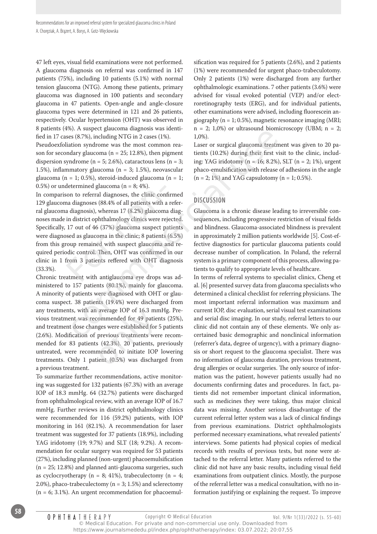47 left eyes, visual field examinations were not performed. A glaucoma diagnosis on referral was confirmed in 147 patients (75%), including 10 patients (5.1%) with normal tension glaucoma (NTG). Among these patients, primary glaucoma was diagnosed in 100 patients and secondary glaucoma in 47 patients. Open-angle and angle-closure glaucoma types were determined in 121 and 26 patients, respectively. Ocular hypertension (OHT) was observed in 8 patients (4%). A suspect glaucoma diagnosis was identified in 17 cases (8.7%), including NTG in 2 cases (1%).

Pseudoexfoliation syndrome was the most common reason for secondary glaucoma (n = 25; 12.8%), then pigment dispersion syndrome ( $n = 5$ ; 2.6%), cataractous lens ( $n = 3$ ; 1.5%), inflammatory glaucoma (n = 3; 1.5%), neovascular glaucoma (n = 1; 0.5%), steroid-induced glaucoma (n = 1; 0.5%) or undetermined glaucoma ( $n = 8$ ; 4%).

In comparison to referral diagnoses, the clinic confirmed 129 glaucoma diagnoses (88.4% of all patients with a referral glaucoma diagnosis), whereas 17 (8.2%) glaucoma diagnoses made in district ophthalmology clinics were rejected. Specifically, 17 out of 46 (37%) glaucoma suspect patients were diagnosed as glaucoma in the clinic; 8 patients (6.5%) from this group remained with suspect glaucoma and required periodic control. Then, OHT was confirmed in our clinic in 1 from 3 patients reffered with OHT diagnosis (33.3%). determined glaucoma ( $n = 8$ ; 4%).<br>
son to referral diagnoses, the clinic con<br>
na diagnoses (88.4% of all patients with a<br>
a diagnosis), whereas 17 (8.2%) glaucom<br>
in district ophthalmology clinics were re<br>
17 out of 46 (3 67. Nasepet gaatomat augusbos was teen-<br>
in  $-2$ ,  $L,300$  or autasound buonnel and the extended of a 12 cases (1%).<br>
and the most common rea-<br>
and the most common rea-<br>
and the most common rea-<br>
and relation syndrome was

Chronic treatment with antiglaucoma eye drops was administered to 157 patients (80.1%), mainly for glaucoma. A minority of patients were diagnosed with OHT or glaucoma suspect. 38 patients (19.4%) were discharged from any treatments, with an average IOP of 16.3 mmHg. Previous treatment was recommended for 49 patients (25%), and treatment dose changes were established for 5 patients (2.6%). Modification of previous treatments were recommended for 83 patients (42.3%). 20 patients, previously untreated, were recommended to initiate IOP lowering any treatments, with an average IOP of 16.3 mmHg. Previous treatment was recommended for 49 patients (25%), and treatment dose changes were established for 5 patients (2.6%). Modification of previous treatments were recomm a previous treatment.

To summarize further recommendations, active monitoring was suggested for 132 patients (67.3%) with an average IOP of 18.3 mmHg. 64 (32.7%) patients were discharged from ophthalmological review, with an average IOP of 16.7 mmHg. Further reviews in district ophthalmology clinics were recommended for 116 (59.2%) patients, with IOP monitoring in 161 (82.1%). A recommendation for laser treatment was suggested for 37 patients (18.9%), including YAG iridotomy (19; 9.7%) and SLT (18; 9.2%). A recommendation for ocular surgery was required for 53 patients (27%), including planned (non-urgent) phacoemulsification (n = 25; 12.8%) and planned anti-glaucoma surgeries, such as cyclocryotherapy ( $n = 8$ ; 41%), trabeculectomy ( $n = 4$ ; 2.0%), phaco-trabeculectomy (n = 3; 1.5%) and sclerectomy  $(n = 6; 3.1\%)$ . An urgent recommendation for phacoemulsification was required for 5 patients (2.6%), and 2 patients (1%) were recommended for urgent phaco-trabeculotomy. Only 2 patients (1%) were discharged from any further ophthalmologic examinations. 7 other patients (3.6%) were advised for visual evoked potential (VEP) and/or electroretinography tests (ERG), and for individual patients, other examinations were advised, including fluorescein angiography (n = 1; 0.5%), magnetic resonance imaging (MRI;  $n = 2$ ; 1,0%) or ultrasound biomicroscopy (UBM;  $n = 2$ ; 1,0%).

Laser or surgical glaucoma treatment was given to 20 patients (10.2%) during their first visit to the clinic, including: YAG iridotomy (n = 16; 8.2%), SLT (n = 2; 1%), urgent phaco-emulsification with release of adhesions in the angle  $(n = 2; 1\%)$  and YAG capsulotomy  $(n = 1; 0.5\%).$ 

# **DisCussion**

Glaucoma is a chronic disease leading to irreversible consequences, including progressive restriction of visual fields and blindness. Glaucoma-associated blindness is prevalent in approximately 2 million patients worldwide [5]. Cost-effective diagnostics for particular glaucoma patients could decrease number of complication. In Poland, the referral system is a primary component of this process, allowing patients to qualify to appropriate levels of healthcare.

In terms of referral systems to specialist clinics, Cheng et al. [6] presented survey data from glaucoma specialists who determined a clinical checklist for referring physicians. The most important referral information was maximum and current IOP, disc evaluation, serial visual test examinations and serial disc imaging. In our study, referral letters to our clinic did not contain any of these elements. We only ascertained basic demographic and nonclinical information (referrer's data, degree of urgency), with a primary diagnosis or short request to the glaucoma specialist. There was no information of glaucoma duration, previous treatment, drug allergies or ocular surgeries. The only source of information was the patient, however patients usually had no documents confirming dates and procedures. In fact, patients did not remember important clinical information, such as medicines they were taking, thus major clinical data was missing. Another serious disadvantage of the current referral letter system was a lack of clinical findings from previous examinations. District ophthalmologists performed necessary examinations, what revealed patients' interviews. Some patients had physical copies of medical records with results of previous tests, but none were attached to the referral letter. Many patients referred to the clinic did not have any basic results, including visual field examinations from outpatient clinics. Mostly, the purpose of the referral letter was a medical consultation, with no information justifying or explaining the request. To improve

https://www.journalsmededu.pl/index.php/ophthatherapy/index: 03.07.2022; 20:07,55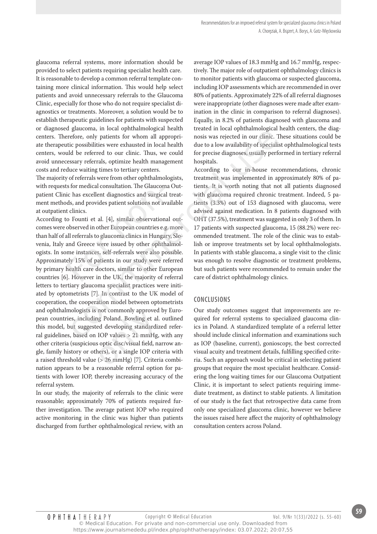glaucoma referral systems, more information should be provided to select patients requiring specialist health care. It is reasonable to develop a common referral template containing more clinical information. This would help select patients and avoid unnecessary referrals to the Glaucoma Clinic, especially for those who do not require specialist diagnostics or treatments. Moreover, a solution would be to establish therapeutic guidelines for patients with suspected or diagnosed glaucoma, in local ophthalmological health centers. Therefore, only patients for whom all appropriate therapeutic possibilities were exhausted in local health centers, would be referred to our clinic. Thus, we could avoid unnecessary referrals, optimize health management costs and reduce waiting times to tertiary centers.

The majority of referrals were from other ophthalmologists, with requests for medical consultation. The Glaucoma Outpatient Clinic has excellent diagnostics and surgical treatment methods, and provides patient solutions not available at outpatient clinics.

According to Founti et al. [4], similar observational outcomes were observed in other European countries e.g. more than half of all referrals to glaucoma clinics in Hungary, Slovenia, Italy and Greece were issued by other ophthalmologists. In some instances, self-referrals were also possible. Approximately 15% of patients in our study were referred by primary health care doctors, similar to other European countries [6]. However in the UK, the majority of referral letters to tertiary glaucoma specialist practices were initiated by optometrists [7]. In contrast to the UK model of cooperation, the cooperation model between optometrists and ophthalmologists is not commonly approved by European countries, including Poland. Bowling et al. outlined this model, but suggested developing standardized referral guidelines, based on IOP values > 21 mmHg, with any other criteria (suspicious optic disc/visual field, narrow angle, family history or others), or a single IOP criteria with and ophthalmologists is not commonly approved by Euro-<br>pean countries, including Poland. Bowling et al. outlined<br>this model, but suggested developing standardized refer-<br>ral guidelines, based on IOP values > 21 mmHg, with nation appears to be a reasonable referral option for patients with lower IOP, thereby increasing accuracy of the referral system. is for medical consultation. The Glaucom<br>ic has excellent diagnostics and surgical<br>ds, and provides patient solutions not av<br>t clinics.<br>co Founti et al. [4], similar observation:<br>observed in other European countries e.g<br>al gaatomia, in ocal optimal<br>mongara neared in ocal plutationological restriction, having the constrained<br>effect, only patients for whom all appropri- nosis was rejected in our clinic. The<br>ic possibilities were exhausted in

In our study, the majority of referrals to the clinic were reasonable; approximately 70% of patients required further investigation. The average patient IOP who required active monitoring in the clinic was higher than patients discharged from further ophthalmological review, with an average IOP values of 18.3 mmHg and 16.7 mmHg, respectively. The major role of outpatient ophthalmology clinics is to monitor patients with glaucoma or suspected glaucoma, including IOP assessments which are recommended in over 80% of patients. Approximately 22% of all referral diagnoses were inappropriate (other diagnoses were made after examination in the clinic in comparison to referral diagnoses). Equally, in 8.2% of patients diagnosed with glaucoma and treated in local ophthalmological health centers, the diagnosis was rejected in our clinic. These situations could be due to a low availability of specialist ophthalmological tests for precise diagnoses, usually performed in tertiary referral hospitals.

According to our in-house recommendations, chronic treatment was implemented in approximately 80% of patients. It is worth noting that not all patients diagnosed with glaucoma required chronic treatment. Indeed, 5 patients (3.3%) out of 153 diagnosed with glaucoma, were advised against medication. In 8 patients diagnosed with OHT (37.5%), treatment was suggested in only 3 of them. In 17 patients with suspected glaucoma, 15 (88.2%) were recommended treatment. The role of the clinic was to establish or improve treatments set by local ophthalmologists. In patients with stable glaucoma, a single visit to the clinic was enough to resolve diagnostic or treatment problems, but such patients were recommended to remain under the care of district ophthalmology clinics.

## **ConClusions**

Our study outcomes suggest that improvements are required for referral systems to specialized glaucoma clinics in Poland. A standardized template of a referral letter should include clinical information and examinations such as IOP (baseline, current), gonioscopy, the best corrected visual acuity and treatment details, fulfilling specified criteria. Such an approach would be critical in selecting patient groups that require the most specialist healthcare. Considering the long waiting times for our Glaucoma Outpatient Clinic, it is important to select patients requiring immediate treatment, as distinct to stable patients. A limitation of our study is the fact that retrospective data came from only one specialized glaucoma clinic, however we believe the issues raised here affect the majority of ophthalmology consultation centers across Poland.